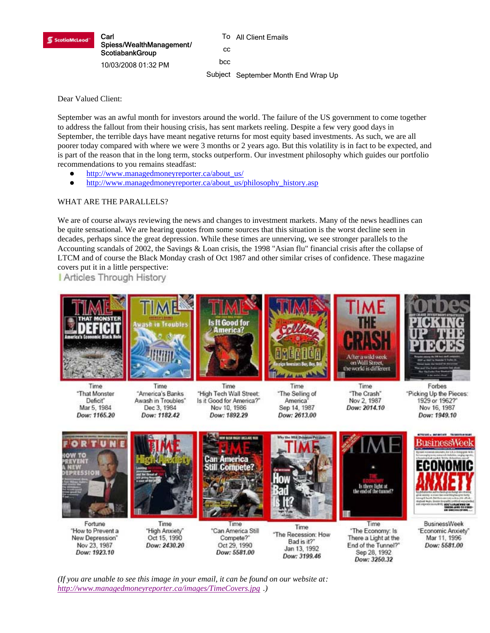

To All Client Emails cc bcc Subject September Month End Wrap Up

Dear Valued Client:

September was an awful month for investors around the world. The failure of the US government to come together to address the fallout from their housing crisis, has sent markets reeling. Despite a few very good days in September, the terrible days have meant negative returns for most equity based investments. As such, we are all poorer today compared with where we were 3 months or 2 years ago. But this volatility is in fact to be expected, and is part of the reason that in the long term, stocks outperform. Our investment philosophy which guides our portfolio recommendations to you remains steadfast:

- http://www.managedmoneyreporter.ca/about\_us/
- http://www.managedmoneyreporter.ca/about\_us/philosophy\_history.asp

# WHAT ARE THE PARALLELS?

We are of course always reviewing the news and changes to investment markets. Many of the news headlines can be quite sensational. We are hearing quotes from some sources that this situation is the worst decline seen in decades, perhaps since the great depression. While these times are unnerving, we see stronger parallels to the Accounting scandals of 2002, the Savings & Loan crisis, the 1998 "Asian flu" financial crisis after the collapse of LTCM and of course the Black Monday crash of Oct 1987 and other similar crises of confidence. These magazine covers put it in a little perspective:

**Articles Through History** 



Dow: 3199.46

Dow: 3250.32

*(If you are unable to see this image in your email, it can be found on our website at: http://www.managedmoneyreporter.ca/images/TimeCovers.jpg .)*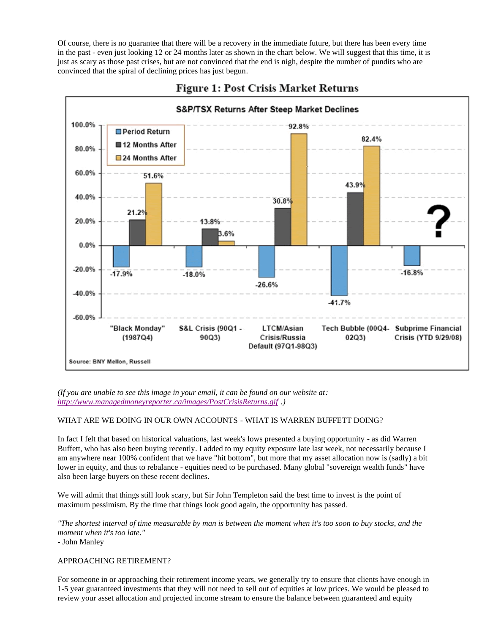Of course, there is no guarantee that there will be a recovery in the immediate future, but there has been every time in the past - even just looking 12 or 24 months later as shown in the chart below. We will suggest that this time, it is just as scary as those past crises, but are not convinced that the end is nigh, despite the number of pundits who are convinced that the spiral of declining prices has just begun.





*(If you are unable to see this image in your email, it can be found on our website at: http://www.managedmoneyreporter.ca/images/PostCrisisReturns.gif .)*

# WHAT ARE WE DOING IN OUR OWN ACCOUNTS - WHAT IS WARREN BUFFETT DOING?

In fact I felt that based on historical valuations, last week's lows presented a buying opportunity - as did Warren Buffett, who has also been buying recently. I added to my equity exposure late last week, not necessarily because I am anywhere near 100% confident that we have "hit bottom", but more that my asset allocation now is (sadly) a bit lower in equity, and thus to rebalance - equities need to be purchased. Many global "sovereign wealth funds" have also been large buyers on these recent declines.

We will admit that things still look scary, but Sir John Templeton said the best time to invest is the point of maximum pessimism. By the time that things look good again, the opportunity has passed.

*"The shortest interval of time measurable by man is between the moment when it's too soon to buy stocks, and the moment when it's too late."* 

- John Manley

### APPROACHING RETIREMENT?

For someone in or approaching their retirement income years, we generally try to ensure that clients have enough in 1-5 year guaranteed investments that they will not need to sell out of equities at low prices. We would be pleased to review your asset allocation and projected income stream to ensure the balance between guaranteed and equity